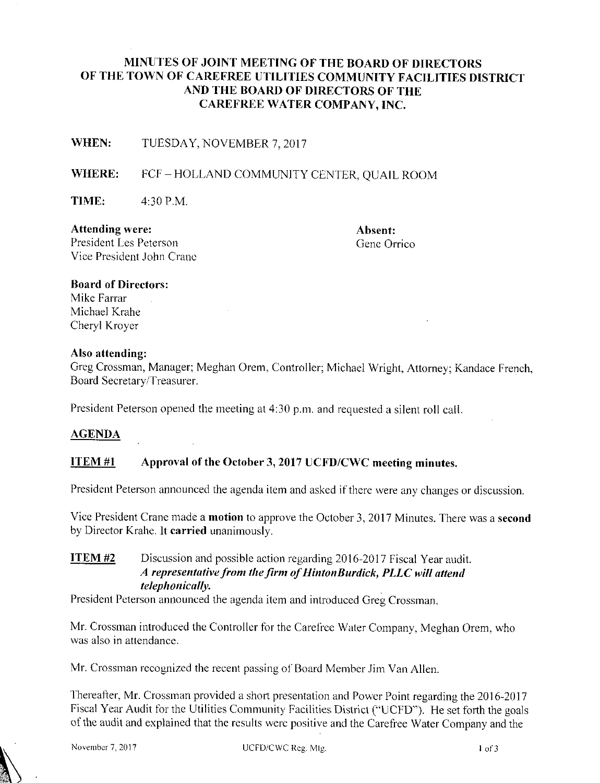## MINUTES OF JOINT MEETING OF THE BOARD OF DIRECTORS OF THE TOWN OF CAREFREE UTILITIES COMMUNITY FACILITIES DISTRICT AND THE BOARD OF DIRECTORS OF THE CAREFREE WATER COMPANY, INC.

WHEN: TUESDAY, NOVEMBER 7, 2017

#### WHERE: FCF-HOLLAND COMMUNITY CENTER, OUAIL ROOM

**TIME:** 4:30 P.M.

Attending were: Absent: Absent: Absent: Absent: President Les Peterson President Les Peterson Vice President John Crane

# Board of Directors:

Mike Farrar Michael Krahe Cheryl Kroyer

#### Also attending:

Greg Crossman, Manager; Meghan Orem, Controller; Michael Wright, Attorney; Kandace French, Board Secretary/Treasurer.

President Peterson opened the meeting at 4:30 p.m. and requested a silent roll call.

#### AGENDA

#### ITEM  $#1$  Approval of the October 3, 2017 UCFD/CWC meeting minutes.

President Peterson announced the agenda item and asked if there were any changes or discussion.

Vice President Crane made a motion to approve the October 3, 2017 Minutes. There was a second by Director Krahe. It carried unanimously.

## ITEM #2 Discussion and possible action regarding 2016-2017 Fiscal Year audit. A representative from the firm of HintonBurdick, PLLC will attend telephonically.

President Peterson announced the agenda item and introduced Greg Crossman.

Mr. Crossman introduced the Controller for the Carefree Water Company, Meghan Orem, who was also in attendance.

Mr. Crossman recognized the recent passing of Board Member Jim Van Allen.

Thereafter, Mr. Crossman provided a short presentation and Power Point regarding the 2016-2017 Fiscal Year Audit for the Utilities Community Facilities District (" UCFD"). He set forth the goals of the audit and explained that the results were positive and the Carefree Water Company and the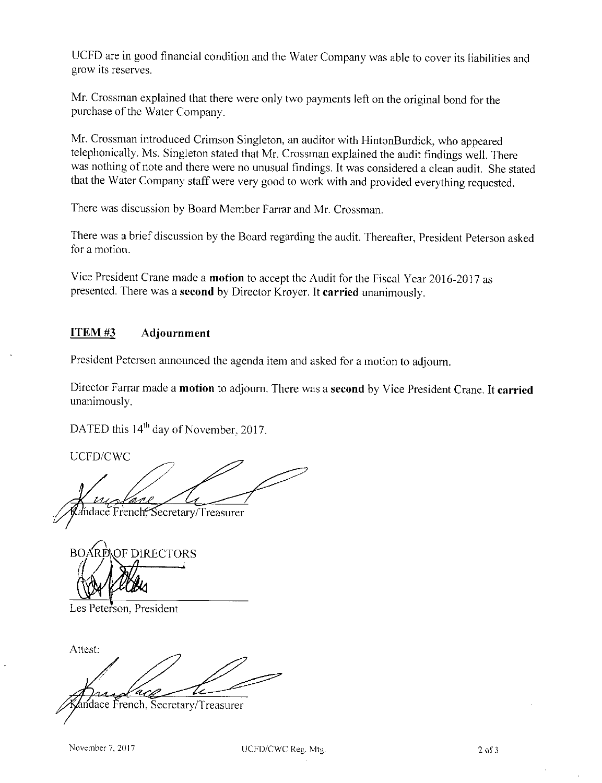UCFD are in good financial condition and the Water Company was able to cover its liabilities and grow its reserves.

Mr. Crossman explained that there were only two payments left on the original bond for the purchase of the Water Company.

Mr. Crossman introduced Crimson Singleton, an auditor with HintonBurdick, who appeared telephonically. Ms. Singleton stated that Mr. Crossman explained the audit findings well. There was nothing of note and there were no unusual findings. It was considered <sup>a</sup> clean audit. She stated that the Water Company staff were very good to work with and provided everything requested.

There was discussion by Board Member Farrar and Mr. Crossman.

There was a brief discussion by the Board regarding the audit. Thereafter, President Peterson asked for a motion.

Vice President Crane made a motion to accept the Audit for the Fiscal Year 2016-2017 as presented. There was a second by Director Kroyer. It carried unanimously.

## ITEM #<sup>3</sup> Adjournment

President Peterson announced the agenda item and asked for <sup>a</sup> motion to adjourn.

Director Farrar made <sup>a</sup> motion to adjourn. There was a second by Vice President Crane. It carried unanimously.

DATED this 14<sup>th</sup> day of November, 2017

UCFD/CWC

ma v dace French, Secretary/Treasurer

OF DIRECTORS  $BOA$  $\mathcal{U}_4$ 

Les Peterson, President

Attest: dace French, Secretary/Treasurer